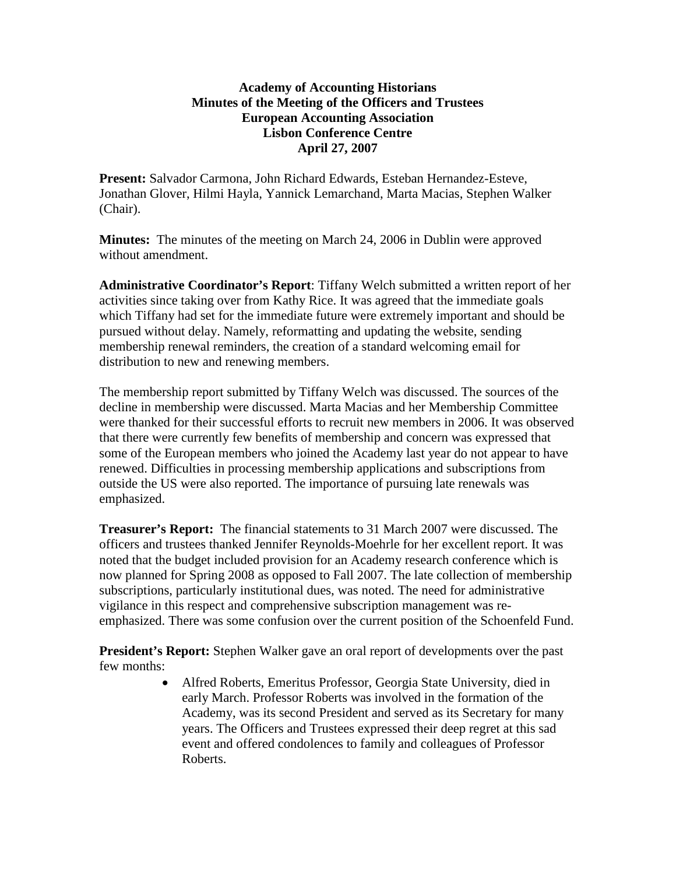## **Academy of Accounting Historians Minutes of the Meeting of the Officers and Trustees European Accounting Association Lisbon Conference Centre April 27, 2007**

**Present:** Salvador Carmona, John Richard Edwards, Esteban Hernandez-Esteve, Jonathan Glover, Hilmi Hayla, Yannick Lemarchand, Marta Macias, Stephen Walker (Chair).

**Minutes:** The minutes of the meeting on March 24, 2006 in Dublin were approved without amendment.

**Administrative Coordinator's Report**: Tiffany Welch submitted a written report of her activities since taking over from Kathy Rice. It was agreed that the immediate goals which Tiffany had set for the immediate future were extremely important and should be pursued without delay. Namely, reformatting and updating the website, sending membership renewal reminders, the creation of a standard welcoming email for distribution to new and renewing members.

The membership report submitted by Tiffany Welch was discussed. The sources of the decline in membership were discussed. Marta Macias and her Membership Committee were thanked for their successful efforts to recruit new members in 2006. It was observed that there were currently few benefits of membership and concern was expressed that some of the European members who joined the Academy last year do not appear to have renewed. Difficulties in processing membership applications and subscriptions from outside the US were also reported. The importance of pursuing late renewals was emphasized.

**Treasurer's Report:** The financial statements to 31 March 2007 were discussed. The officers and trustees thanked Jennifer Reynolds-Moehrle for her excellent report. It was noted that the budget included provision for an Academy research conference which is now planned for Spring 2008 as opposed to Fall 2007. The late collection of membership subscriptions, particularly institutional dues, was noted. The need for administrative vigilance in this respect and comprehensive subscription management was reemphasized. There was some confusion over the current position of the Schoenfeld Fund.

**President's Report:** Stephen Walker gave an oral report of developments over the past few months:

> • Alfred Roberts, Emeritus Professor, Georgia State University, died in early March. Professor Roberts was involved in the formation of the Academy, was its second President and served as its Secretary for many years. The Officers and Trustees expressed their deep regret at this sad event and offered condolences to family and colleagues of Professor Roberts.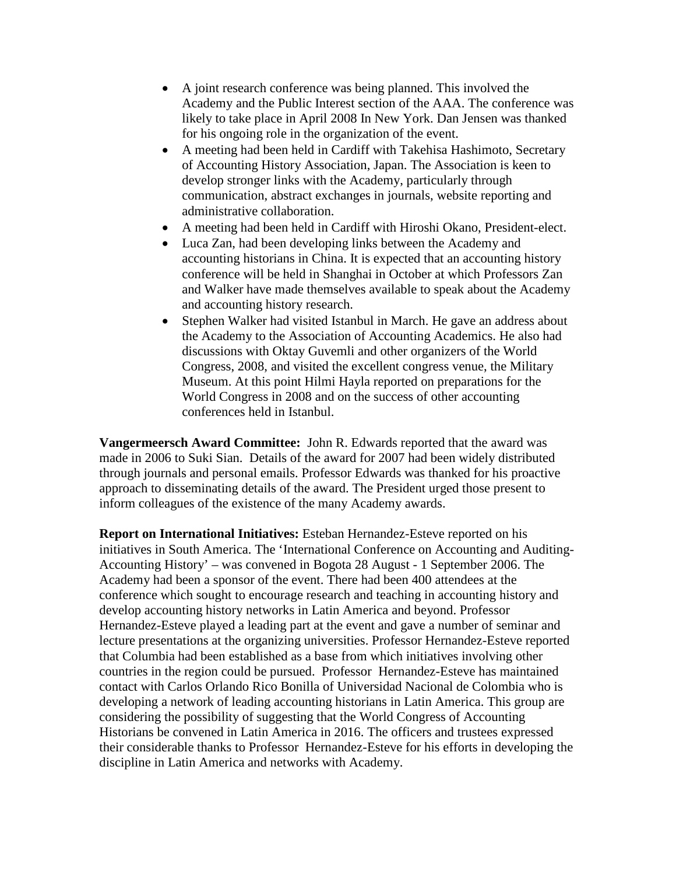- A joint research conference was being planned. This involved the Academy and the Public Interest section of the AAA. The conference was likely to take place in April 2008 In New York. Dan Jensen was thanked for his ongoing role in the organization of the event.
- A meeting had been held in Cardiff with Takehisa Hashimoto, Secretary of Accounting History Association, Japan. The Association is keen to develop stronger links with the Academy, particularly through communication, abstract exchanges in journals, website reporting and administrative collaboration.
- A meeting had been held in Cardiff with Hiroshi Okano, President-elect.
- Luca Zan, had been developing links between the Academy and accounting historians in China. It is expected that an accounting history conference will be held in Shanghai in October at which Professors Zan and Walker have made themselves available to speak about the Academy and accounting history research.
- Stephen Walker had visited Istanbul in March. He gave an address about the Academy to the Association of Accounting Academics. He also had discussions with Oktay Guvemli and other organizers of the World Congress, 2008, and visited the excellent congress venue, the Military Museum. At this point Hilmi Hayla reported on preparations for the World Congress in 2008 and on the success of other accounting conferences held in Istanbul.

**Vangermeersch Award Committee:** John R. Edwards reported that the award was made in 2006 to Suki Sian. Details of the award for 2007 had been widely distributed through journals and personal emails. Professor Edwards was thanked for his proactive approach to disseminating details of the award. The President urged those present to inform colleagues of the existence of the many Academy awards.

**Report on International Initiatives:** Esteban Hernandez-Esteve reported on his initiatives in South America. The 'International Conference on Accounting and Auditing-Accounting History' – was convened in Bogota 28 August - 1 September 2006. The Academy had been a sponsor of the event. There had been 400 attendees at the conference which sought to encourage research and teaching in accounting history and develop accounting history networks in Latin America and beyond. Professor Hernandez-Esteve played a leading part at the event and gave a number of seminar and lecture presentations at the organizing universities. Professor Hernandez-Esteve reported that Columbia had been established as a base from which initiatives involving other countries in the region could be pursued. Professor Hernandez-Esteve has maintained contact with Carlos Orlando Rico Bonilla of Universidad Nacional de Colombia who is developing a network of leading accounting historians in Latin America. This group are considering the possibility of suggesting that the World Congress of Accounting Historians be convened in Latin America in 2016. The officers and trustees expressed their considerable thanks to Professor Hernandez-Esteve for his efforts in developing the discipline in Latin America and networks with Academy.